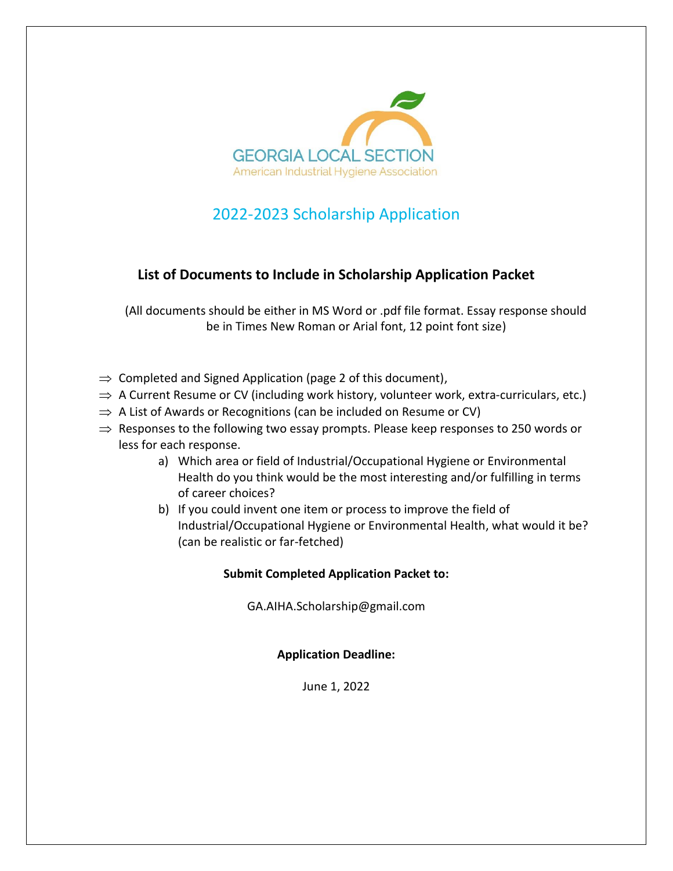

## 2022-2023 Scholarship Application

## **List of Documents to Include in Scholarship Application Packet**

(All documents should be either in MS Word or .pdf file format. Essay response should be in Times New Roman or Arial font, 12 point font size)

- $\Rightarrow$  Completed and Signed Application (page 2 of this document),
- $\Rightarrow$  A Current Resume or CV (including work history, volunteer work, extra-curriculars, etc.)
- $\Rightarrow$  A List of Awards or Recognitions (can be included on Resume or CV)
- $\Rightarrow$  Responses to the following two essay prompts. Please keep responses to 250 words or less for each response.
	- a) Which area or field of Industrial/Occupational Hygiene or Environmental Health do you think would be the most interesting and/or fulfilling in terms of career choices?
	- b) If you could invent one item or process to improve the field of Industrial/Occupational Hygiene or Environmental Health, what would it be? (can be realistic or far-fetched)

## **Submit Completed Application Packet to:**

GA.AIHA.Scholarship@gmail.com

**Application Deadline:**

June 1, 2022